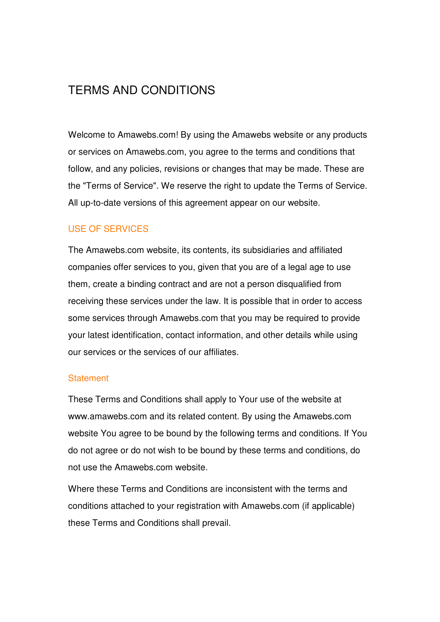# TERMS AND CONDITIONS

Welcome to Amawebs.com! By using the Amawebs website or any products or services on Amawebs.com, you agree to the terms and conditions that follow, and any policies, revisions or changes that may be made. These are the "Terms of Service". We reserve the right to update the Terms of Service. All up-to-date versions of this agreement appear on our website.

# USE OF SERVICES

The Amawebs.com website, its contents, its subsidiaries and affiliated companies offer services to you, given that you are of a legal age to use them, create a binding contract and are not a person disqualified from receiving these services under the law. It is possible that in order to access some services through Amawebs.com that you may be required to provide your latest identification, contact information, and other details while using our services or the services of our affiliates.

#### **Statement**

These Terms and Conditions shall apply to Your use of the website at www.amawebs.com and its related content. By using the Amawebs.com website You agree to be bound by the following terms and conditions. If You do not agree or do not wish to be bound by these terms and conditions, do not use the Amawebs.com website.

Where these Terms and Conditions are inconsistent with the terms and conditions attached to your registration with Amawebs.com (if applicable) these Terms and Conditions shall prevail.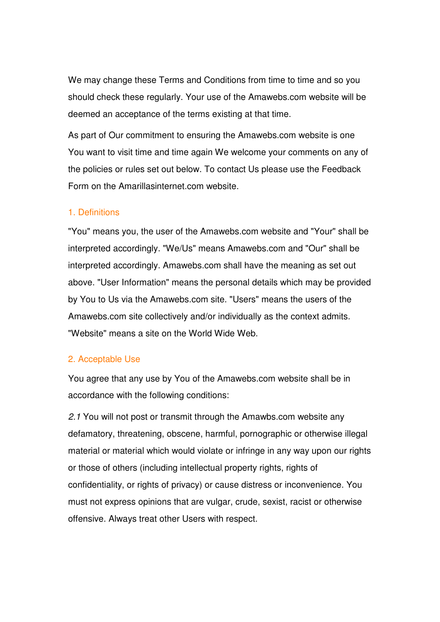We may change these Terms and Conditions from time to time and so you should check these regularly. Your use of the Amawebs.com website will be deemed an acceptance of the terms existing at that time.

As part of Our commitment to ensuring the Amawebs.com website is one You want to visit time and time again We welcome your comments on any of the policies or rules set out below. To contact Us please use the Feedback Form on the Amarillasinternet.com website.

#### 1. Definitions

"You" means you, the user of the Amawebs.com website and "Your" shall be interpreted accordingly. "We/Us" means Amawebs.com and "Our" shall be interpreted accordingly. Amawebs.com shall have the meaning as set out above. "User Information" means the personal details which may be provided by You to Us via the Amawebs.com site. "Users" means the users of the Amawebs.com site collectively and/or individually as the context admits. "Website" means a site on the World Wide Web.

#### 2. Acceptable Use

You agree that any use by You of the Amawebs.com website shall be in accordance with the following conditions:

2.1 You will not post or transmit through the Amawbs.com website any defamatory, threatening, obscene, harmful, pornographic or otherwise illegal material or material which would violate or infringe in any way upon our rights or those of others (including intellectual property rights, rights of confidentiality, or rights of privacy) or cause distress or inconvenience. You must not express opinions that are vulgar, crude, sexist, racist or otherwise offensive. Always treat other Users with respect.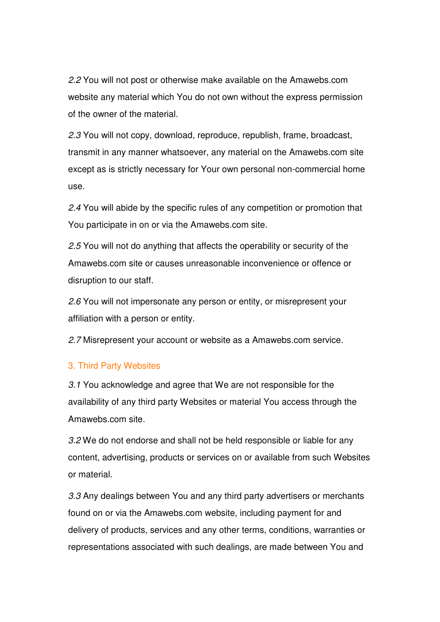2.2 You will not post or otherwise make available on the Amawebs.com website any material which You do not own without the express permission of the owner of the material.

2.3 You will not copy, download, reproduce, republish, frame, broadcast, transmit in any manner whatsoever, any material on the Amawebs.com site except as is strictly necessary for Your own personal non-commercial home use.

2.4 You will abide by the specific rules of any competition or promotion that You participate in on or via the Amawebs.com site.

2.5 You will not do anything that affects the operability or security of the Amawebs.com site or causes unreasonable inconvenience or offence or disruption to our staff.

2.6 You will not impersonate any person or entity, or misrepresent your affiliation with a person or entity.

2.7 Misrepresent your account or website as a Amawebs.com service.

#### 3. Third Party Websites

3.1 You acknowledge and agree that We are not responsible for the availability of any third party Websites or material You access through the Amawebs.com site.

3.2 We do not endorse and shall not be held responsible or liable for any content, advertising, products or services on or available from such Websites or material.

3.3 Any dealings between You and any third party advertisers or merchants found on or via the Amawebs.com website, including payment for and delivery of products, services and any other terms, conditions, warranties or representations associated with such dealings, are made between You and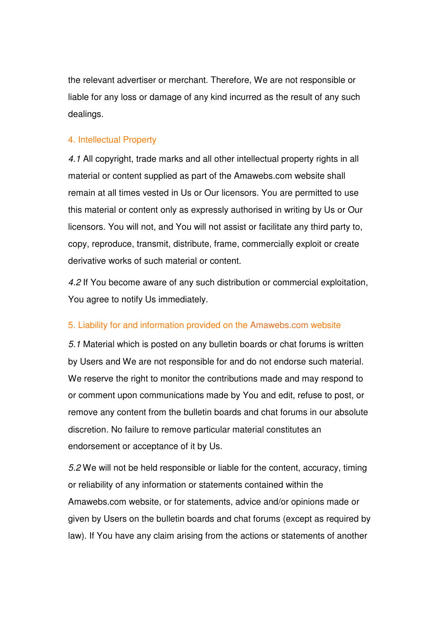the relevant advertiser or merchant. Therefore, We are not responsible or liable for any loss or damage of any kind incurred as the result of any such dealings.

#### 4. Intellectual Property

4.1 All copyright, trade marks and all other intellectual property rights in all material or content supplied as part of the Amawebs.com website shall remain at all times vested in Us or Our licensors. You are permitted to use this material or content only as expressly authorised in writing by Us or Our licensors. You will not, and You will not assist or facilitate any third party to, copy, reproduce, transmit, distribute, frame, commercially exploit or create derivative works of such material or content.

4.2 If You become aware of any such distribution or commercial exploitation, You agree to notify Us immediately.

#### 5. Liability for and information provided on the Amawebs.com website

5.1 Material which is posted on any bulletin boards or chat forums is written by Users and We are not responsible for and do not endorse such material. We reserve the right to monitor the contributions made and may respond to or comment upon communications made by You and edit, refuse to post, or remove any content from the bulletin boards and chat forums in our absolute discretion. No failure to remove particular material constitutes an endorsement or acceptance of it by Us.

5.2 We will not be held responsible or liable for the content, accuracy, timing or reliability of any information or statements contained within the Amawebs.com website, or for statements, advice and/or opinions made or given by Users on the bulletin boards and chat forums (except as required by law). If You have any claim arising from the actions or statements of another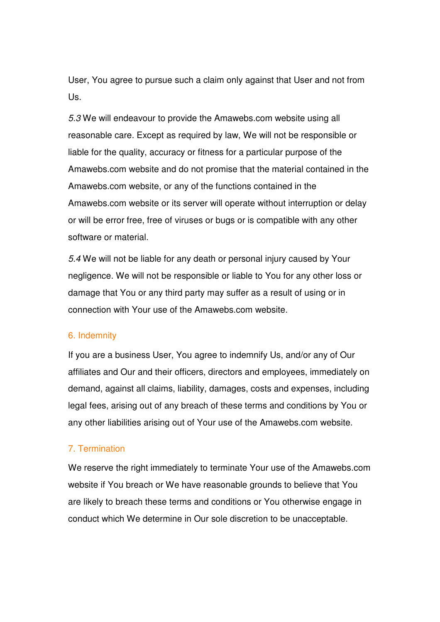User, You agree to pursue such a claim only against that User and not from Us.

5.3 We will endeavour to provide the Amawebs.com website using all reasonable care. Except as required by law, We will not be responsible or liable for the quality, accuracy or fitness for a particular purpose of the Amawebs.com website and do not promise that the material contained in the Amawebs.com website, or any of the functions contained in the Amawebs.com website or its server will operate without interruption or delay or will be error free, free of viruses or bugs or is compatible with any other software or material.

5.4 We will not be liable for any death or personal injury caused by Your negligence. We will not be responsible or liable to You for any other loss or damage that You or any third party may suffer as a result of using or in connection with Your use of the Amawebs.com website.

#### 6. Indemnity

If you are a business User, You agree to indemnify Us, and/or any of Our affiliates and Our and their officers, directors and employees, immediately on demand, against all claims, liability, damages, costs and expenses, including legal fees, arising out of any breach of these terms and conditions by You or any other liabilities arising out of Your use of the Amawebs.com website.

#### 7. Termination

We reserve the right immediately to terminate Your use of the Amawebs.com website if You breach or We have reasonable grounds to believe that You are likely to breach these terms and conditions or You otherwise engage in conduct which We determine in Our sole discretion to be unacceptable.